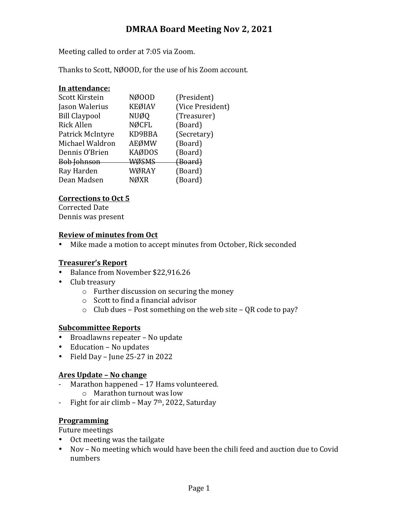# **DMRAA Board Meeting Nov 2, 2021**

Meeting called to order at 7:05 via Zoom.

Thanks to Scott, NØOOD, for the use of his Zoom account.

## In attendance:

| Scott Kirstein       | NØ00D         | (President)      |
|----------------------|---------------|------------------|
| Jason Walerius       | <b>KEØIAV</b> | (Vice President) |
| <b>Bill Claypool</b> | <b>NUØQ</b>   | (Treasurer)      |
| <b>Rick Allen</b>    | <b>NØCFL</b>  | (Board)          |
| Patrick McIntyre     | KD9BBA        | (Secretary)      |
| Michael Waldron      | AEØMW         | (Board)          |
| Dennis O'Brien       | <b>KAØDOS</b> | (Board)          |
| <b>Bob Johnson</b>   | <b>WØSMS</b>  | (Board)          |
| Ray Harden           | WØRAY         | (Board)          |
| Dean Madsen          | NØXR          | (Board)          |
|                      |               |                  |

## **Corrections to Oct 5**

Corrected Date Dennis was present

#### **Review of minutes from Oct**

• Mike made a motion to accept minutes from October, Rick seconded

## **Treasurer's Report**

- Balance from November \$22,916.26
- Club treasury
	- $\circ$  Further discussion on securing the money
	- $\circ$  Scott to find a financial advisor
	- $\circ$  Club dues Post something on the web site QR code to pay?

# **Subcommittee Reports**

- Broadlawns repeater No update
- Education No updates
- Field Day June  $25-27$  in  $2022$

#### **Ares Update – No change**

- Marathon happened 17 Hams volunteered.  $\circ$  Marathon turnout was low
- Fight for air climb May  $7<sup>th</sup>$ , 2022, Saturday

## **Programming**

Future meetings

- Oct meeting was the tailgate
- Nov No meeting which would have been the chili feed and auction due to Covid numbers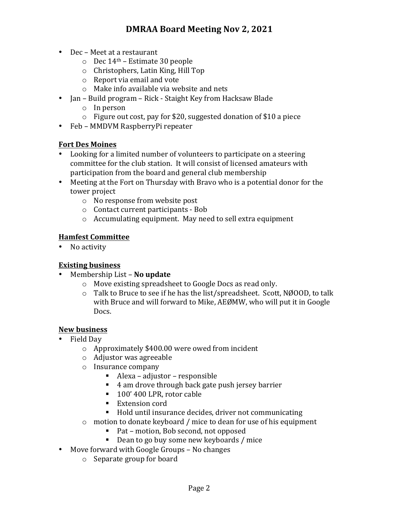- Dec Meet at a restaurant
	- $\circ$  Dec 14<sup>th</sup> Estimate 30 people
	- $\circ$  Christophers, Latin King, Hill Top
	- $\circ$  Report via email and vote
	- $\circ$  Make info available via website and nets
- Jan Build program Rick Staight Key from Hacksaw Blade
	- $\circ$  In person
	- $\circ$  Figure out cost, pay for \$20, suggested donation of \$10 a piece
- Feb MMDVM RaspberryPi repeater

## **Fort Des Moines**

- Looking for a limited number of volunteers to participate on a steering committee for the club station. It will consist of licensed amateurs with participation from the board and general club membership
- Meeting at the Fort on Thursday with Bravo who is a potential donor for the tower project
	- $\circ$  No response from website post
	- $\circ$  Contact current participants Bob
	- $\circ$  Accumulating equipment. May need to sell extra equipment

## **Hamfest Committee**

• No activity

#### **Existing business**

- Membership List **No update** 
	- $\circ$  Move existing spreadsheet to Google Docs as read only.
	- $\circ$  Talk to Bruce to see if he has the list/spreadsheet. Scott, NØOOD, to talk with Bruce and will forward to Mike, AEØMW, who will put it in Google Docs.

#### **New business**

- Field Day
	- $\circ$  Approximately \$400.00 were owed from incident
	- $\circ$  Adjustor was agreeable
	- $\circ$  Insurance company
		- $\blacksquare$  Alexa adjustor responsible
		- 4 am drove through back gate push jersey barrier
		- 100' 400 LPR, rotor cable
		- Extension cord
		- Hold until insurance decides, driver not communicating
	- $\circ$  motion to donate keyboard / mice to dean for use of his equipment
		- Pat motion, Bob second, not opposed
		- Dean to go buy some new keyboards / mice
- Move forward with Google Groups No changes
	- $\circ$  Separate group for board